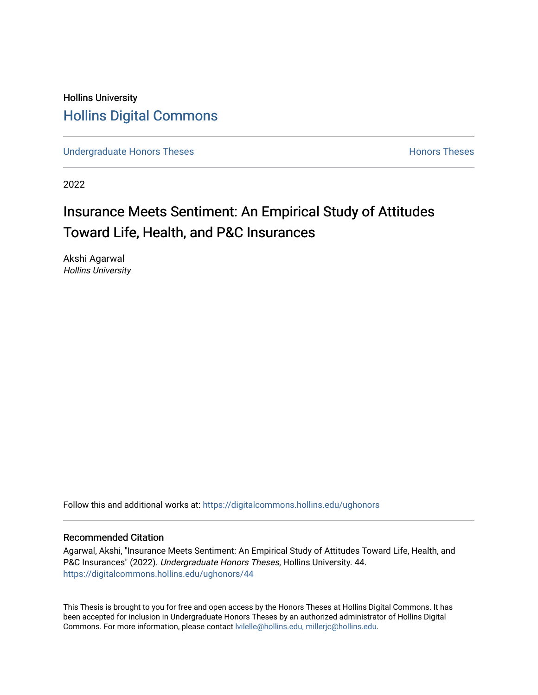## Hollins University [Hollins Digital Commons](https://digitalcommons.hollins.edu/)

[Undergraduate Honors Theses](https://digitalcommons.hollins.edu/ughonors) **Honors Theses** Honors Theses

2022

# Insurance Meets Sentiment: An Empirical Study of Attitudes Toward Life, Health, and P&C Insurances

Akshi Agarwal Hollins University

Follow this and additional works at: [https://digitalcommons.hollins.edu/ughonors](https://digitalcommons.hollins.edu/ughonors?utm_source=digitalcommons.hollins.edu%2Fughonors%2F44&utm_medium=PDF&utm_campaign=PDFCoverPages)

### Recommended Citation

Agarwal, Akshi, "Insurance Meets Sentiment: An Empirical Study of Attitudes Toward Life, Health, and P&C Insurances" (2022). Undergraduate Honors Theses, Hollins University. 44. [https://digitalcommons.hollins.edu/ughonors/44](https://digitalcommons.hollins.edu/ughonors/44?utm_source=digitalcommons.hollins.edu%2Fughonors%2F44&utm_medium=PDF&utm_campaign=PDFCoverPages) 

This Thesis is brought to you for free and open access by the Honors Theses at Hollins Digital Commons. It has been accepted for inclusion in Undergraduate Honors Theses by an authorized administrator of Hollins Digital Commons. For more information, please contact [lvilelle@hollins.edu, millerjc@hollins.edu.](mailto:lvilelle@hollins.edu,%20millerjc@hollins.edu)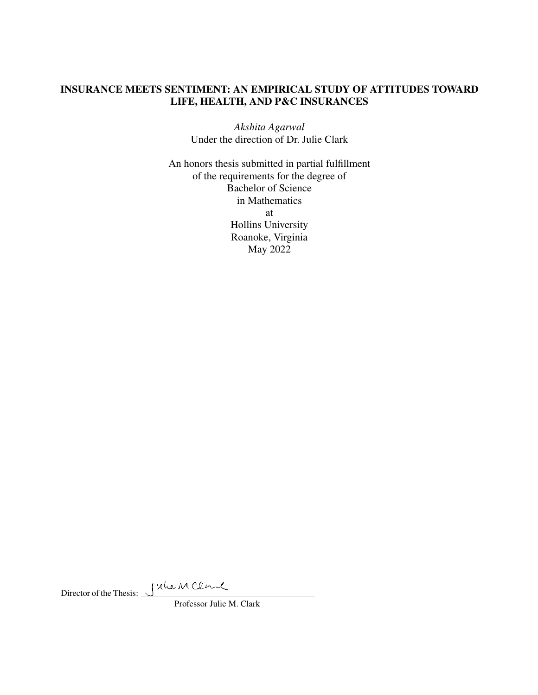## INSURANCE MEETS SENTIMENT: AN EMPIRICAL STUDY OF ATTITUDES TOWARD LIFE, HEALTH, AND P&C INSURANCES

*Akshita Agarwal* Under the direction of Dr. Julie Clark

An honors thesis submitted in partial fulfillment of the requirements for the degree of Bachelor of Science in Mathematics at Hollins University Roanoke, Virginia May 2022

Director of the Thesis:

Professor Julie M. Clark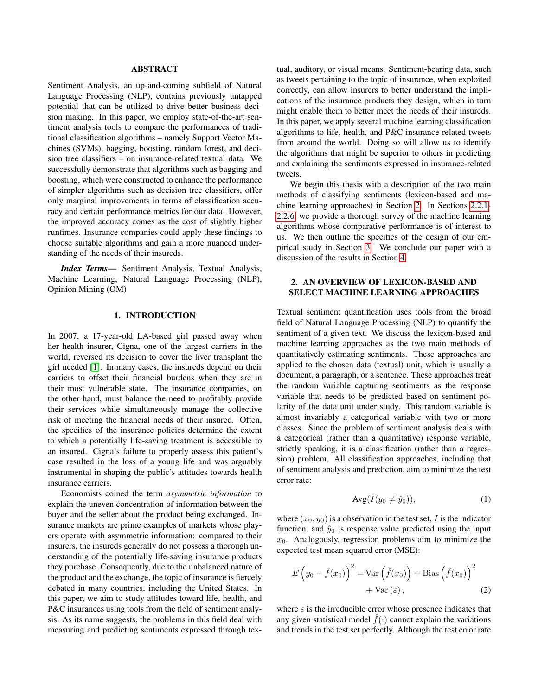#### ABSTRACT

<span id="page-2-0"></span>Sentiment Analysis, an up-and-coming subfield of Natural Language Processing (NLP), contains previously untapped potential that can be utilized to drive better business decision making. In this paper, we employ state-of-the-art sentiment analysis tools to compare the performances of traditional classification algorithms – namely Support Vector Machines (SVMs), bagging, boosting, random forest, and decision tree classifiers – on insurance-related textual data. We successfully demonstrate that algorithms such as bagging and boosting, which were constructed to enhance the performance of simpler algorithms such as decision tree classifiers, offer only marginal improvements in terms of classification accuracy and certain performance metrics for our data. However, the improved accuracy comes as the cost of slightly higher runtimes. Insurance companies could apply these findings to choose suitable algorithms and gain a more nuanced understanding of the needs of their insureds.

*Index Terms*— Sentiment Analysis, Textual Analysis, Machine Learning, Natural Language Processing (NLP), Opinion Mining (OM)

#### 1. INTRODUCTION

In 2007, a 17-year-old LA-based girl passed away when her health insurer, Cigna, one of the largest carriers in the world, reversed its decision to cover the liver transplant the girl needed [\[1\]](#page-13-0). In many cases, the insureds depend on their carriers to offset their financial burdens when they are in their most vulnerable state. The insurance companies, on the other hand, must balance the need to profitably provide their services while simultaneously manage the collective risk of meeting the financial needs of their insured. Often, the specifics of the insurance policies determine the extent to which a potentially life-saving treatment is accessible to an insured. Cigna's failure to properly assess this patient's case resulted in the loss of a young life and was arguably instrumental in shaping the public's attitudes towards health insurance carriers.

Economists coined the term *asymmetric information* to explain the uneven concentration of information between the buyer and the seller about the product being exchanged. Insurance markets are prime examples of markets whose players operate with asymmetric information: compared to their insurers, the insureds generally do not possess a thorough understanding of the potentially life-saving insurance products they purchase. Consequently, due to the unbalanced nature of the product and the exchange, the topic of insurance is fiercely debated in many countries, including the United States. In this paper, we aim to study attitudes toward life, health, and P&C insurances using tools from the field of sentiment analysis. As its name suggests, the problems in this field deal with measuring and predicting sentiments expressed through textual, auditory, or visual means. Sentiment-bearing data, such as tweets pertaining to the topic of insurance, when exploited correctly, can allow insurers to better understand the implications of the insurance products they design, which in turn might enable them to better meet the needs of their insureds. In this paper, we apply several machine learning classification algorithms to life, health, and P&C insurance-related tweets from around the world. Doing so will allow us to identify the algorithms that might be superior to others in predicting and explaining the sentiments expressed in insurance-related tweets.

We begin this thesis with a description of the two main methods of classifying sentiments (lexicon-based and machine learning approaches) in Section 2. In Sections [2.2.1-](#page-4-0) [2.2.6,](#page-6-0) we provide a thorough survey of the machine learning algorithms whose comparative performance is of interest to us. We then outline the specifics of the design of our empirical study in Section [3.](#page-7-0) We conclude our paper with a discussion of the results in Section [4.](#page-8-0)

#### 2. AN OVERVIEW OF LEXICON-BASED AND SELECT MACHINE LEARNING APPROACHES

Textual sentiment quantification uses tools from the broad field of Natural Language Processing (NLP) to quantify the sentiment of a given text. We discuss the lexicon-based and machine learning approaches as the two main methods of quantitatively estimating sentiments. These approaches are applied to the chosen data (textual) unit, which is usually a document, a paragraph, or a sentence. These approaches treat the random variable capturing sentiments as the response variable that needs to be predicted based on sentiment polarity of the data unit under study. This random variable is almost invariably a categorical variable with two or more classes. Since the problem of sentiment analysis deals with a categorical (rather than a quantitative) response variable, strictly speaking, it is a classification (rather than a regression) problem. All classification approaches, including that of sentiment analysis and prediction, aim to minimize the test error rate:

$$
Avg(I(y_0 \neq \hat{y}_0)), \tag{1}
$$

where  $(x_0, y_0)$  is a observation in the test set, I is the indicator function, and  $\hat{y}_0$  is response value predicted using the input  $x_0$ . Analogously, regression problems aim to minimize the expected test mean squared error (MSE):

$$
E(y_0 - \hat{f}(x_0))^{2} = \text{Var}(\hat{f}(x_0)) + \text{Bias}(\hat{f}(x_0))^{2}
$$

$$
+ \text{Var}(\varepsilon), \qquad (2)
$$

where  $\varepsilon$  is the irreducible error whose presence indicates that any given statistical model  $f(\cdot)$  cannot explain the variations and trends in the test set perfectly. Although the test error rate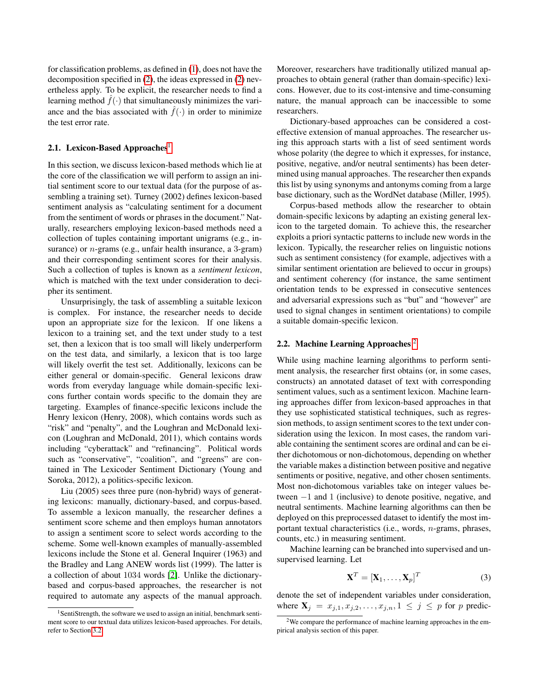<span id="page-3-0"></span>for classification problems, as defined in [\(1\)](#page-2-0), does not have the decomposition specified in [\(2\)](#page-2-0), the ideas expressed in [\(2\)](#page-2-0) nevertheless apply. To be explicit, the researcher needs to find a learning method  $\hat{f}(\cdot)$  that simultaneously minimizes the variance and the bias associated with  $\hat{f}(\cdot)$  in order to minimize the test error rate.

#### 2.1. Lexicon-Based Approaches<sup>1</sup>

In this section, we discuss lexicon-based methods which lie at the core of the classification we will perform to assign an initial sentiment score to our textual data (for the purpose of assembling a training set). Turney (2002) defines lexicon-based sentiment analysis as "calculating sentiment for a document from the sentiment of words or phrases in the document." Naturally, researchers employing lexicon-based methods need a collection of tuples containing important unigrams (e.g., insurance) or  $n$ -grams (e.g., unfair health insurance, a 3-gram) and their corresponding sentiment scores for their analysis. Such a collection of tuples is known as a *sentiment lexicon*, which is matched with the text under consideration to decipher its sentiment.

Unsurprisingly, the task of assembling a suitable lexicon is complex. For instance, the researcher needs to decide upon an appropriate size for the lexicon. If one likens a lexicon to a training set, and the text under study to a test set, then a lexicon that is too small will likely underperform on the test data, and similarly, a lexicon that is too large will likely overfit the test set. Additionally, lexicons can be either general or domain-specific. General lexicons draw words from everyday language while domain-specific lexicons further contain words specific to the domain they are targeting. Examples of finance-specific lexicons include the Henry lexicon (Henry, 2008), which contains words such as "risk" and "penalty", and the Loughran and McDonald lexicon (Loughran and McDonald, 2011), which contains words including "cyberattack" and "refinancing". Political words such as "conservative", "coalition", and "greens" are contained in The Lexicoder Sentiment Dictionary (Young and Soroka, 2012), a politics-specific lexicon.

Liu (2005) sees three pure (non-hybrid) ways of generating lexicons: manually, dictionary-based, and corpus-based. To assemble a lexicon manually, the researcher defines a sentiment score scheme and then employs human annotators to assign a sentiment score to select words according to the scheme. Some well-known examples of manually-assembled lexicons include the Stone et al. General Inquirer (1963) and the Bradley and Lang ANEW words list (1999). The latter is a collection of about 1034 words [\[2\]](#page-13-0). Unlike the dictionarybased and corpus-based approaches, the researcher is not required to automate any aspects of the manual approach.

Moreover, researchers have traditionally utilized manual approaches to obtain general (rather than domain-specific) lexicons. However, due to its cost-intensive and time-consuming nature, the manual approach can be inaccessible to some researchers.

Dictionary-based approaches can be considered a costeffective extension of manual approaches. The researcher using this approach starts with a list of seed sentiment words whose polarity (the degree to which it expresses, for instance, positive, negative, and/or neutral sentiments) has been determined using manual approaches. The researcher then expands this list by using synonyms and antonyms coming from a large base dictionary, such as the WordNet database (Miller, 1995).

Corpus-based methods allow the researcher to obtain domain-specific lexicons by adapting an existing general lexicon to the targeted domain. To achieve this, the researcher exploits a priori syntactic patterns to include new words in the lexicon. Typically, the researcher relies on linguistic notions such as sentiment consistency (for example, adjectives with a similar sentiment orientation are believed to occur in groups) and sentiment coherency (for instance, the same sentiment orientation tends to be expressed in consecutive sentences and adversarial expressions such as "but" and "however" are used to signal changes in sentiment orientations) to compile a suitable domain-specific lexicon.

#### 2.2. Machine Learning Approaches <sup>2</sup>

While using machine learning algorithms to perform sentiment analysis, the researcher first obtains (or, in some cases, constructs) an annotated dataset of text with corresponding sentiment values, such as a sentiment lexicon. Machine learning approaches differ from lexicon-based approaches in that they use sophisticated statistical techniques, such as regression methods, to assign sentiment scores to the text under consideration using the lexicon. In most cases, the random variable containing the sentiment scores are ordinal and can be either dichotomous or non-dichotomous, depending on whether the variable makes a distinction between positive and negative sentiments or positive, negative, and other chosen sentiments. Most non-dichotomous variables take on integer values between −1 and 1 (inclusive) to denote positive, negative, and neutral sentiments. Machine learning algorithms can then be deployed on this preprocessed dataset to identify the most important textual characteristics (i.e., words, n-grams, phrases, counts, etc.) in measuring sentiment.

Machine learning can be branched into supervised and unsupervised learning. Let

$$
\mathbf{X}^T = [\mathbf{X}_1, \dots, \mathbf{X}_p]^T
$$
 (3)

denote the set of independent variables under consideration, where  $\mathbf{X}_j = x_{j,1}, x_{j,2}, \ldots, x_{j,n}, 1 \leq j \leq p$  for p predic-

<sup>&</sup>lt;sup>1</sup>SentiStrength, the software we used to assign an initial, benchmark sentiment score to our textual data utilizes lexicon-based approaches. For details, refer to Section [3.2.](#page-8-0)

<sup>2</sup>We compare the performance of machine learning approaches in the empirical analysis section of this paper.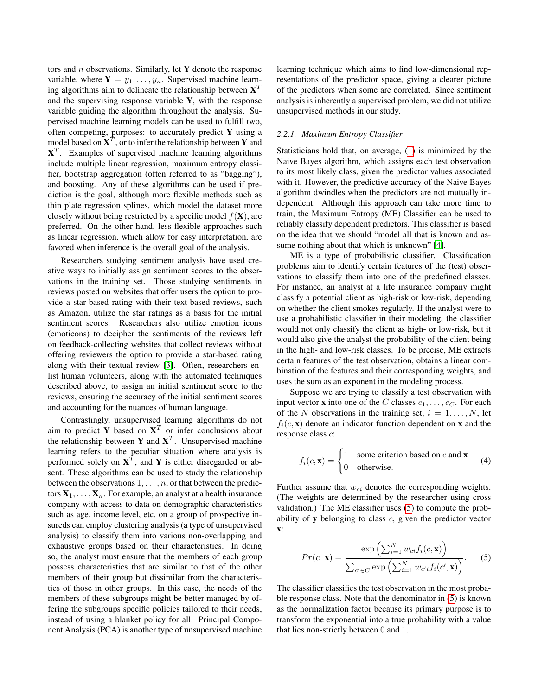<span id="page-4-0"></span>tors and n observations. Similarly, let Y denote the response variable, where  $Y = y_1, \ldots, y_n$ . Supervised machine learning algorithms aim to delineate the relationship between  $X^T$ and the supervising response variable  $Y$ , with the response variable guiding the algorithm throughout the analysis. Supervised machine learning models can be used to fulfill two, often competing, purposes: to accurately predict  $Y$  using a model based on  $\mathbf{X}^T$ , or to infer the relationship between  $\mathbf Y$  and  $X<sup>T</sup>$ . Examples of supervised machine learning algorithms include multiple linear regression, maximum entropy classifier, bootstrap aggregation (often referred to as "bagging"), and boosting. Any of these algorithms can be used if prediction is the goal, although more flexible methods such as thin plate regression splines, which model the dataset more closely without being restricted by a specific model  $f(\mathbf{X})$ , are preferred. On the other hand, less flexible approaches such as linear regression, which allow for easy interpretation, are favored when inference is the overall goal of the analysis.

Researchers studying sentiment analysis have used creative ways to initially assign sentiment scores to the observations in the training set. Those studying sentiments in reviews posted on websites that offer users the option to provide a star-based rating with their text-based reviews, such as Amazon, utilize the star ratings as a basis for the initial sentiment scores. Researchers also utilize emotion icons (emoticons) to decipher the sentiments of the reviews left on feedback-collecting websites that collect reviews without offering reviewers the option to provide a star-based rating along with their textual review [\[3\]](#page-13-0). Often, researchers enlist human volunteers, along with the automated techniques described above, to assign an initial sentiment score to the reviews, ensuring the accuracy of the initial sentiment scores and accounting for the nuances of human language.

Contrastingly, unsupervised learning algorithms do not aim to predict Y based on  $X<sup>T</sup>$  or infer conclusions about the relationship between Y and  $X<sup>T</sup>$ . Unsupervised machine learning refers to the peculiar situation where analysis is performed solely on  $X^T$ , and Y is either disregarded or absent. These algorithms can be used to study the relationship between the observations  $1, \ldots, n$ , or that between the predictors  $X_1, \ldots, X_n$ . For example, an analyst at a health insurance company with access to data on demographic characteristics such as age, income level, etc. on a group of prospective insureds can employ clustering analysis (a type of unsupervised analysis) to classify them into various non-overlapping and exhaustive groups based on their characteristics. In doing so, the analyst must ensure that the members of each group possess characteristics that are similar to that of the other members of their group but dissimilar from the characteristics of those in other groups. In this case, the needs of the members of these subgroups might be better managed by offering the subgroups specific policies tailored to their needs, instead of using a blanket policy for all. Principal Component Analysis (PCA) is another type of unsupervised machine learning technique which aims to find low-dimensional representations of the predictor space, giving a clearer picture of the predictors when some are correlated. Since sentiment analysis is inherently a supervised problem, we did not utilize unsupervised methods in our study.

#### *2.2.1. Maximum Entropy Classifier*

Statisticians hold that, on average, [\(1\)](#page-2-0) is minimized by the Naive Bayes algorithm, which assigns each test observation to its most likely class, given the predictor values associated with it. However, the predictive accuracy of the Naive Bayes algorithm dwindles when the predictors are not mutually independent. Although this approach can take more time to train, the Maximum Entropy (ME) Classifier can be used to reliably classify dependent predictors. This classifier is based on the idea that we should "model all that is known and as-sume nothing about that which is unknown" [\[4\]](#page-13-0).

ME is a type of probabilistic classifier. Classification problems aim to identify certain features of the (test) observations to classify them into one of the predefined classes. For instance, an analyst at a life insurance company might classify a potential client as high-risk or low-risk, depending on whether the client smokes regularly. If the analyst were to use a probabilistic classifier in their modeling, the classifier would not only classify the client as high- or low-risk, but it would also give the analyst the probability of the client being in the high- and low-risk classes. To be precise, ME extracts certain features of the test observation, obtains a linear combination of the features and their corresponding weights, and uses the sum as an exponent in the modeling process.

Suppose we are trying to classify a test observation with input vector **x** into one of the C classes  $c_1, \ldots, c_C$ . For each of the N observations in the training set,  $i = 1, \ldots, N$ , let  $f_i(c, x)$  denote an indicator function dependent on x and the response class c:

$$
f_i(c, \mathbf{x}) = \begin{cases} 1 & \text{some criterion based on } c \text{ and } \mathbf{x} \\ 0 & \text{otherwise.} \end{cases}
$$
 (4)

Further assume that  $w_{ci}$  denotes the corresponding weights. (The weights are determined by the researcher using cross validation.) The ME classifier uses (5) to compute the probability of y belonging to class c, given the predictor vector x:

$$
Pr(c \mid \mathbf{x}) = \frac{\exp\left(\sum_{i=1}^{N} w_{ci} f_i(c, \mathbf{x})\right)}{\sum_{c' \in C} \exp\left(\sum_{i=1}^{N} w_{c'i} f_i(c', \mathbf{x})\right)}.
$$
 (5)

The classifier classifies the test observation in the most probable response class. Note that the denominator in (5) is known as the normalization factor because its primary purpose is to transform the exponential into a true probability with a value that lies non-strictly between 0 and 1.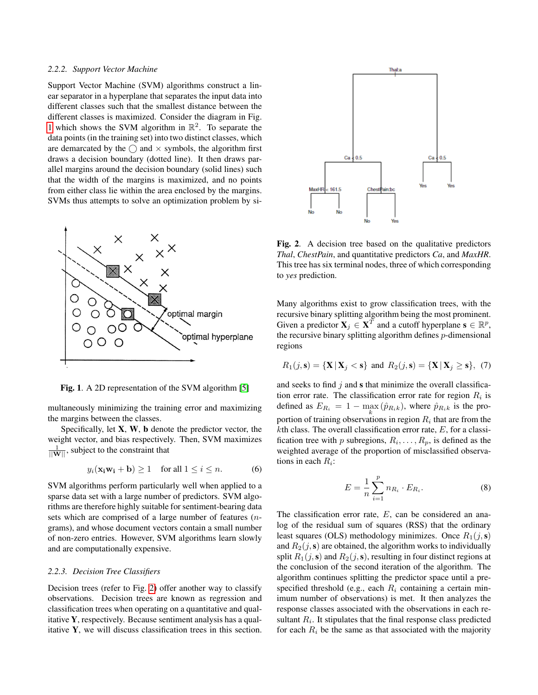#### <span id="page-5-0"></span>*2.2.2. Support Vector Machine*

Support Vector Machine (SVM) algorithms construct a linear separator in a hyperplane that separates the input data into different classes such that the smallest distance between the different classes is maximized. Consider the diagram in Fig. 1 which shows the SVM algorithm in  $\mathbb{R}^2$ . To separate the data points (in the training set) into two distinct classes, which are demarcated by the  $\bigcirc$  and  $\times$  symbols, the algorithm first draws a decision boundary (dotted line). It then draws parallel margins around the decision boundary (solid lines) such that the width of the margins is maximized, and no points from either class lie within the area enclosed by the margins. SVMs thus attempts to solve an optimization problem by si-



Fig. 1. A 2D representation of the SVM algorithm [\[5\]](#page-13-0)

multaneously minimizing the training error and maximizing the margins between the classes.

Specifically, let  $X$ ,  $W$ ,  $b$  denote the predictor vector, the weight vector, and bias respectively. Then, SVM maximizes  $\frac{1}{\|\mathbf{W}\|}$ , subject to the constraint that

$$
y_i(\mathbf{x}_i \mathbf{w}_i + \mathbf{b}) \ge 1 \quad \text{for all } 1 \le i \le n. \tag{6}
$$

SVM algorithms perform particularly well when applied to a sparse data set with a large number of predictors. SVM algorithms are therefore highly suitable for sentiment-bearing data sets which are comprised of a large number of features (ngrams), and whose document vectors contain a small number of non-zero entries. However, SVM algorithms learn slowly and are computationally expensive.

#### *2.2.3. Decision Tree Classifiers*

Decision trees (refer to Fig. 2) offer another way to classify observations. Decision trees are known as regression and classification trees when operating on a quantitative and qualitative Y, respectively. Because sentiment analysis has a qualitative Y, we will discuss classification trees in this section.



Fig. 2. A decision tree based on the qualitative predictors *Thal*, *ChestPain*, and quantitative predictors *Ca*, and *MaxHR*. This tree has six terminal nodes, three of which corresponding to *yes* prediction.

Many algorithms exist to grow classification trees, with the recursive binary splitting algorithm being the most prominent. Given a predictor  $\mathbf{X}_j \in \mathbf{X}^T$  and a cutoff hyperplane  $\mathbf{s} \in \mathbb{R}^p$ , the recursive binary splitting algorithm defines p-dimensional regions

$$
R_1(j, \mathbf{s}) = \{ \mathbf{X} \, | \, \mathbf{X}_j < \mathbf{s} \} \text{ and } R_2(j, \mathbf{s}) = \{ \mathbf{X} \, | \, \mathbf{X}_j \ge \mathbf{s} \}, \tag{7}
$$

and seeks to find  $j$  and  $s$  that minimize the overall classification error rate. The classification error rate for region  $R_i$  is defined as  $E_{R_i} = 1 - \max_k (\hat{p}_{R_i k})$ , where  $\hat{p}_{R_i k}$  is the proportion of training observations in region  $R_i$  that are from the  $k$ th class. The overall classification error rate,  $E$ , for a classification tree with p subregions,  $R_i, \ldots, R_p$ , is defined as the weighted average of the proportion of misclassified observations in each  $R_i$ :

$$
E = \frac{1}{n} \sum_{i=1}^{p} n_{R_i} \cdot E_{R_i}.
$$
 (8)

The classification error rate,  $E$ , can be considered an analog of the residual sum of squares (RSS) that the ordinary least squares (OLS) methodology minimizes. Once  $R_1(j,s)$ and  $R_2(j, s)$  are obtained, the algorithm works to individually split  $R_1(j, s)$  and  $R_2(j, s)$ , resulting in four distinct regions at the conclusion of the second iteration of the algorithm. The algorithm continues splitting the predictor space until a prespecified threshold (e.g., each  $R_i$  containing a certain minimum number of observations) is met. It then analyzes the response classes associated with the observations in each resultant  $R_i$ . It stipulates that the final response class predicted for each  $R_i$  be the same as that associated with the majority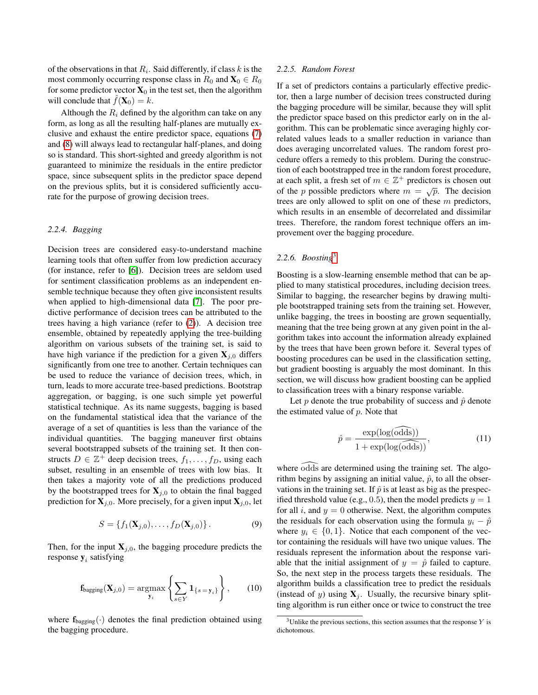<span id="page-6-0"></span>of the observations in that  $R_i$ . Said differently, if class k is the most commonly occurring response class in  $R_0$  and  $\mathbf{X}_0 \in R_0$ for some predictor vector  $X_0$  in the test set, then the algorithm will conclude that  $f(\mathbf{X}_0) = k$ .

Although the  $R_i$  defined by the algorithm can take on any form, as long as all the resulting half-planes are mutually exclusive and exhaust the entire predictor space, equations [\(7\)](#page-5-0) and [\(8\)](#page-5-0) will always lead to rectangular half-planes, and doing so is standard. This short-sighted and greedy algorithm is not guaranteed to minimize the residuals in the entire predictor space, since subsequent splits in the predictor space depend on the previous splits, but it is considered sufficiently accurate for the purpose of growing decision trees.

#### *2.2.4. Bagging*

Decision trees are considered easy-to-understand machine learning tools that often suffer from low prediction accuracy (for instance, refer to [\[6\]](#page-13-0)). Decision trees are seldom used for sentiment classification problems as an independent ensemble technique because they often give inconsistent results when applied to high-dimensional data [\[7\]](#page-13-0). The poor predictive performance of decision trees can be attributed to the trees having a high variance (refer to [\(2\)](#page-2-0)). A decision tree ensemble, obtained by repeatedly applying the tree-building algorithm on various subsets of the training set, is said to have high variance if the prediction for a given  $X_{j,0}$  differs significantly from one tree to another. Certain techniques can be used to reduce the variance of decision trees, which, in turn, leads to more accurate tree-based predictions. Bootstrap aggregation, or bagging, is one such simple yet powerful statistical technique. As its name suggests, bagging is based on the fundamental statistical idea that the variance of the average of a set of quantities is less than the variance of the individual quantities. The bagging maneuver first obtains several bootstrapped subsets of the training set. It then constructs  $D \in \mathbb{Z}^+$  deep decision trees,  $f_1, \ldots, f_D$ , using each subset, resulting in an ensemble of trees with low bias. It then takes a majority vote of all the predictions produced by the bootstrapped trees for  $\mathbf{X}_{j,0}$  to obtain the final bagged prediction for  $X_{j,0}$ . More precisely, for a given input  $X_{j,0}$ , let

$$
S = \{f_1(\mathbf{X}_{j,0}), \dots, f_D(\mathbf{X}_{j,0})\}.
$$
 (9)

Then, for the input  $X_{j,0}$ , the bagging procedure predicts the response  $y_i$  satisfying

$$
\mathbf{f}_{\text{bagging}}(\mathbf{X}_{j,0}) = \underset{\mathbf{y}_i}{\operatorname{argmax}} \left\{ \sum_{s \in Y} \mathbf{1}_{\{s = \mathbf{y}_i\}} \right\}, \qquad (10)
$$

where  $f_{\text{bagging}}(\cdot)$  denotes the final prediction obtained using the bagging procedure.

#### *2.2.5. Random Forest*

If a set of predictors contains a particularly effective predictor, then a large number of decision trees constructed during the bagging procedure will be similar, because they will split the predictor space based on this predictor early on in the algorithm. This can be problematic since averaging highly correlated values leads to a smaller reduction in variance than does averaging uncorrelated values. The random forest procedure offers a remedy to this problem. During the construction of each bootstrapped tree in the random forest procedure, at each split, a fresh set of  $m \in \mathbb{Z}^+$  predictors is chosen out of the *p* possible predictors where  $m = \sqrt{p}$ . The decision trees are only allowed to split on one of these m predictors, which results in an ensemble of decorrelated and dissimilar trees. Therefore, the random forest technique offers an improvement over the bagging procedure.

#### *2.2.6. Boosting*<sup>3</sup>

Boosting is a slow-learning ensemble method that can be applied to many statistical procedures, including decision trees. Similar to bagging, the researcher begins by drawing multiple bootstrapped training sets from the training set. However, unlike bagging, the trees in boosting are grown sequentially, meaning that the tree being grown at any given point in the algorithm takes into account the information already explained by the trees that have been grown before it. Several types of boosting procedures can be used in the classification setting, but gradient boosting is arguably the most dominant. In this section, we will discuss how gradient boosting can be applied to classification trees with a binary response variable.

Let p denote the true probability of success and  $\hat{p}$  denote the estimated value of  $p$ . Note that

$$
\hat{p} = \frac{\exp(\log(\widehat{\text{odds}}))}{1 + \exp(\log(\widehat{\text{odds}}))},\tag{11}
$$

where odds are determined using the training set. The algorithm begins by assigning an initial value,  $\hat{p}$ , to all the observations in the training set. If  $\hat{p}$  is at least as big as the prespecified threshold value (e.g., 0.5), then the model predicts  $y = 1$ for all i, and  $y = 0$  otherwise. Next, the algorithm computes the residuals for each observation using the formula  $y_i - \hat{p}$ where  $y_i \in \{0, 1\}$ . Notice that each component of the vector containing the residuals will have two unique values. The residuals represent the information about the response variable that the initial assignment of  $y = \hat{p}$  failed to capture. So, the next step in the process targets these residuals. The algorithm builds a classification tree to predict the residuals (instead of y) using  $X_i$ . Usually, the recursive binary splitting algorithm is run either once or twice to construct the tree

 $3$ Unlike the previous sections, this section assumes that the response Y is dichotomous.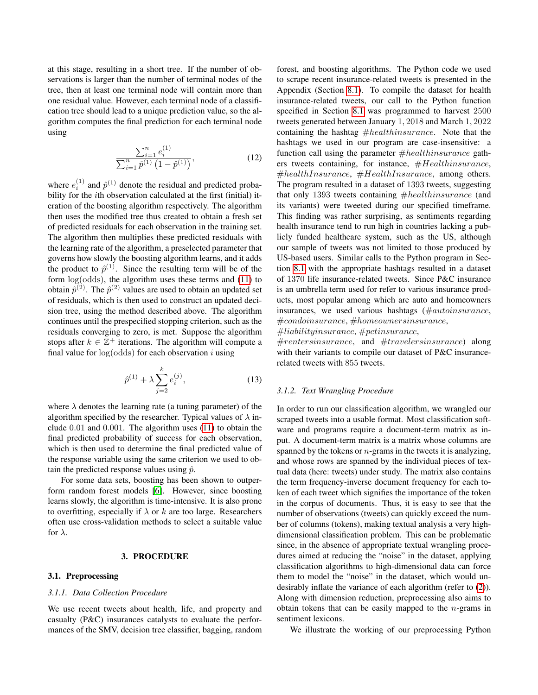<span id="page-7-0"></span>at this stage, resulting in a short tree. If the number of observations is larger than the number of terminal nodes of the tree, then at least one terminal node will contain more than one residual value. However, each terminal node of a classification tree should lead to a unique prediction value, so the algorithm computes the final prediction for each terminal node using

$$
\frac{\sum_{i=1}^{n} e_i^{(1)}}{\sum_{i=1}^{n} \hat{p}^{(1)} \left(1 - \hat{p}^{(1)}\right)},\tag{12}
$$

where  $e_i^{(1)}$  and  $\hat{p}^{(1)}$  denote the residual and predicted probability for the ith observation calculated at the first (initial) iteration of the boosting algorithm respectively. The algorithm then uses the modified tree thus created to obtain a fresh set of predicted residuals for each observation in the training set. The algorithm then multiplies these predicted residuals with the learning rate of the algorithm, a preselected parameter that governs how slowly the boosting algorithm learns, and it adds the product to  $\hat{p}^{(1)}$ . Since the resulting term will be of the form log(odds), the algorithm uses these terms and [\(11\)](#page-6-0) to obtain  $\hat{p}^{(2)}$ . The  $\hat{p}^{(2)}$  values are used to obtain an updated set of residuals, which is then used to construct an updated decision tree, using the method described above. The algorithm continues until the prespecified stopping criterion, such as the residuals converging to zero, is met. Suppose the algorithm stops after  $k \in \mathbb{Z}^+$  iterations. The algorithm will compute a final value for  $log(odds)$  for each observation i using

$$
\hat{p}^{(1)} + \lambda \sum_{j=2}^{k} e_i^{(j)},\tag{13}
$$

where  $\lambda$  denotes the learning rate (a tuning parameter) of the algorithm specified by the researcher. Typical values of  $\lambda$  include 0.01 and 0.001. The algorithm uses [\(11\)](#page-6-0) to obtain the final predicted probability of success for each observation, which is then used to determine the final predicted value of the response variable using the same criterion we used to obtain the predicted response values using  $\hat{p}$ .

For some data sets, boosting has been shown to outperform random forest models [\[6\]](#page-13-0). However, since boosting learns slowly, the algorithm is time-intensive. It is also prone to overfitting, especially if  $\lambda$  or k are too large. Researchers often use cross-validation methods to select a suitable value for  $\lambda$ .

#### 3. PROCEDURE

#### 3.1. Preprocessing

#### *3.1.1. Data Collection Procedure*

We use recent tweets about health, life, and property and casualty (P&C) insurances catalysts to evaluate the performances of the SMV, decision tree classifier, bagging, random forest, and boosting algorithms. The Python code we used to scrape recent insurance-related tweets is presented in the Appendix (Section [8.1\)](#page-14-0). To compile the dataset for health insurance-related tweets, our call to the Python function specified in Section [8.1](#page-14-0) was programmed to harvest 2500 tweets generated between January 1, 2018 and March 1, 2022 containing the hashtag  $#health insurance$ . Note that the hashtags we used in our program are case-insensitive: a function call using the parameter  $#healthinsure$  gathers tweets containing, for instance,  $#Health insurance$ ,  $#health Insurance, \#Health Insurance, \text{ among others}.$ The program resulted in a dataset of 1393 tweets, suggesting that only 1393 tweets containing  $\#healthinsure$  (and its variants) were tweeted during our specified timeframe. This finding was rather surprising, as sentiments regarding health insurance tend to run high in countries lacking a publicly funded healthcare system, such as the US, although our sample of tweets was not limited to those produced by US-based users. Similar calls to the Python program in Section [8.1](#page-14-0) with the appropriate hashtags resulted in a dataset of 1370 life insurance-related tweets. Since P&C insurance is an umbrella term used for refer to various insurance products, most popular among which are auto and homeowners insurances, we used various hashtags (#autoinsurance, #condoinsurance, #homeownersinsurance,

#liabilityinsurance, #petinsurance,

#rentersinsurance, and #travelersinsurance) along with their variants to compile our dataset of P&C insurancerelated tweets with 855 tweets.

#### *3.1.2. Text Wrangling Procedure*

In order to run our classification algorithm, we wrangled our scraped tweets into a usable format. Most classification software and programs require a document-term matrix as input. A document-term matrix is a matrix whose columns are spanned by the tokens or  $n$ -grams in the tweets it is analyzing, and whose rows are spanned by the individual pieces of textual data (here: tweets) under study. The matrix also contains the term frequency-inverse document frequency for each token of each tweet which signifies the importance of the token in the corpus of documents. Thus, it is easy to see that the number of observations (tweets) can quickly exceed the number of columns (tokens), making textual analysis a very highdimensional classification problem. This can be problematic since, in the absence of appropriate textual wrangling procedures aimed at reducing the "noise" in the dataset, applying classification algorithms to high-dimensional data can force them to model the "noise" in the dataset, which would undesirably inflate the variance of each algorithm (refer to [\(2\)](#page-2-0)). Along with dimension reduction, preprocessing also aims to obtain tokens that can be easily mapped to the  $n$ -grams in sentiment lexicons.

We illustrate the working of our preprocessing Python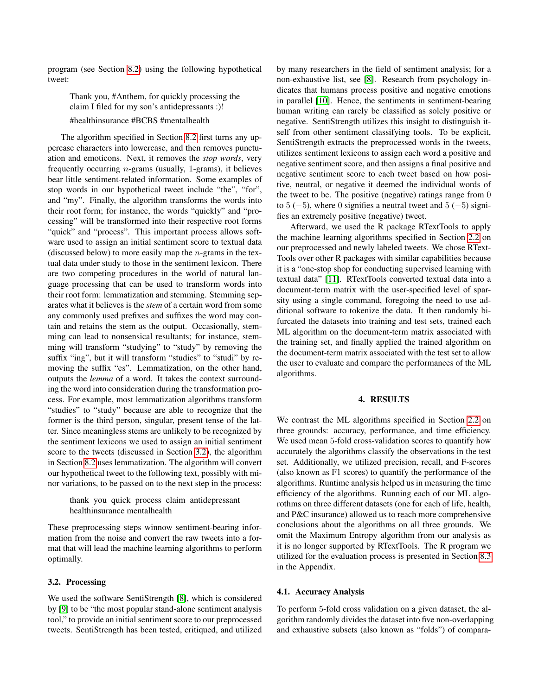<span id="page-8-0"></span>program (see Section [8.2\)](#page-14-0) using the following hypothetical tweet:

> Thank you, #Anthem, for quickly processing the claim I filed for my son's antidepressants :)! #healthinsurance #BCBS #mentalhealth

The algorithm specified in Section [8.2](#page-14-0) first turns any uppercase characters into lowercase, and then removes punctuation and emoticons. Next, it removes the *stop words*, very frequently occurring n-grams (usually, 1-grams), it believes bear little sentiment-related information. Some examples of stop words in our hypothetical tweet include "the", "for", and "my". Finally, the algorithm transforms the words into their root form; for instance, the words "quickly" and "processing" will be transformed into their respective root forms "quick" and "process". This important process allows software used to assign an initial sentiment score to textual data (discussed below) to more easily map the  $n$ -grams in the textual data under study to those in the sentiment lexicon. There are two competing procedures in the world of natural language processing that can be used to transform words into their root form: lemmatization and stemming. Stemming separates what it believes is the *stem* of a certain word from some any commonly used prefixes and suffixes the word may contain and retains the stem as the output. Occasionally, stemming can lead to nonsensical resultants; for instance, stemming will transform "studying" to "study" by removing the suffix "ing", but it will transform "studies" to "studi" by removing the suffix "es". Lemmatization, on the other hand, outputs the *lemma* of a word. It takes the context surrounding the word into consideration during the transformation process. For example, most lemmatization algorithms transform "studies" to "study" because are able to recognize that the former is the third person, singular, present tense of the latter. Since meaningless stems are unlikely to be recognized by the sentiment lexicons we used to assign an initial sentiment score to the tweets (discussed in Section 3.2), the algorithm in Section [8.2](#page-14-0) uses lemmatization. The algorithm will convert our hypothetical tweet to the following text, possibly with minor variations, to be passed on to the next step in the process:

> thank you quick process claim antidepressant healthinsurance mentalhealth

These preprocessing steps winnow sentiment-bearing information from the noise and convert the raw tweets into a format that will lead the machine learning algorithms to perform optimally.

#### 3.2. Processing

We used the software SentiStrength [\[8\]](#page-13-0), which is considered by [\[9\]](#page-13-0) to be "the most popular stand-alone sentiment analysis tool," to provide an initial sentiment score to our preprocessed tweets. SentiStrength has been tested, critiqued, and utilized by many researchers in the field of sentiment analysis; for a non-exhaustive list, see [\[8\]](#page-13-0). Research from psychology indicates that humans process positive and negative emotions in parallel [\[10\]](#page-13-0). Hence, the sentiments in sentiment-bearing human writing can rarely be classified as solely positive or negative. SentiStrength utilizes this insight to distinguish itself from other sentiment classifying tools. To be explicit, SentiStrength extracts the preprocessed words in the tweets, utilizes sentiment lexicons to assign each word a positive and negative sentiment score, and then assigns a final positive and negative sentiment score to each tweet based on how positive, neutral, or negative it deemed the individual words of the tweet to be. The positive (negative) ratings range from 0 to  $5(-5)$ , where 0 signifies a neutral tweet and  $5(-5)$  signifies an extremely positive (negative) tweet.

Afterward, we used the R package RTextTools to apply the machine learning algorithms specified in Section [2.2](#page-3-0) on our preprocessed and newly labeled tweets. We chose RText-Tools over other R packages with similar capabilities because it is a "one-stop shop for conducting supervised learning with textual data" [\[11\]](#page-13-0). RTextTools converted textual data into a document-term matrix with the user-specified level of sparsity using a single command, foregoing the need to use additional software to tokenize the data. It then randomly bifurcated the datasets into training and test sets, trained each ML algorithm on the document-term matrix associated with the training set, and finally applied the trained algorithm on the document-term matrix associated with the test set to allow the user to evaluate and compare the performances of the ML algorithms.

#### 4. RESULTS

We contrast the ML algorithms specified in Section [2.2](#page-3-0) on three grounds: accuracy, performance, and time efficiency. We used mean 5-fold cross-validation scores to quantify how accurately the algorithms classify the observations in the test set. Additionally, we utilized precision, recall, and F-scores (also known as F1 scores) to quantify the performance of the algorithms. Runtime analysis helped us in measuring the time efficiency of the algorithms. Running each of our ML algorothms on three different datasets (one for each of life, health, and P&C insurance) allowed us to reach more comprehensive conclusions about the algorithms on all three grounds. We omit the Maximum Entropy algorithm from our analysis as it is no longer supported by RTextTools. The R program we utilized for the evaluation process is presented in Section [8.3](#page-15-0) in the Appendix.

#### 4.1. Accuracy Analysis

To perform 5-fold cross validation on a given dataset, the algorithm randomly divides the dataset into five non-overlapping and exhaustive subsets (also known as "folds") of compara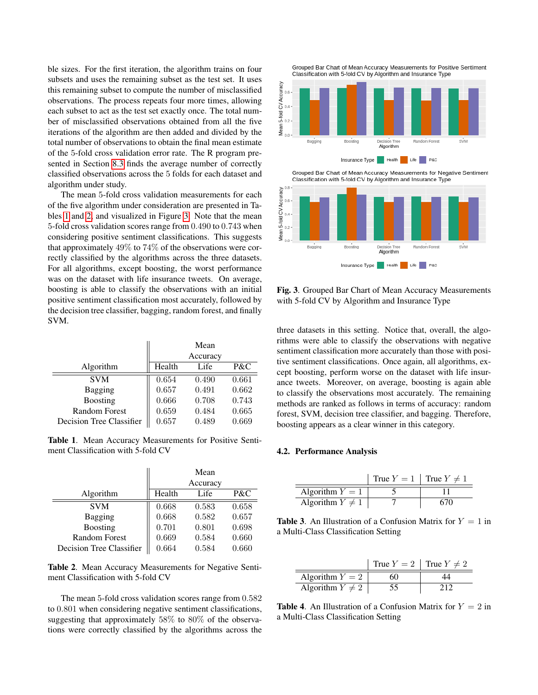<span id="page-9-0"></span>ble sizes. For the first iteration, the algorithm trains on four subsets and uses the remaining subset as the test set. It uses this remaining subset to compute the number of misclassified observations. The process repeats four more times, allowing each subset to act as the test set exactly once. The total number of misclassified observations obtained from all the five iterations of the algorithm are then added and divided by the total number of observations to obtain the final mean estimate of the 5-fold cross validation error rate. The R program presented in Section [8.3](#page-15-0) finds the average number of correctly classified observations across the 5 folds for each dataset and algorithm under study.

The mean 5-fold cross validation measurements for each of the five algorithm under consideration are presented in Tables 1 and 2, and visualized in Figure 3. Note that the mean 5-fold cross validation scores range from 0.490 to 0.743 when considering positive sentiment classifications. This suggests that approximately 49% to 74% of the observations were correctly classified by the algorithms across the three datasets. For all algorithms, except boosting, the worst performance was on the dataset with life insurance tweets. On average, boosting is able to classify the observations with an initial positive sentiment classification most accurately, followed by the decision tree classifier, bagging, random forest, and finally SVM.

|                          |        | Mean     |       |
|--------------------------|--------|----------|-------|
|                          |        | Accuracy |       |
| Algorithm                | Health | Life     | P&C   |
| <b>SVM</b>               | 0.654  | 0.490    | 0.661 |
| Bagging                  | 0.657  | 0.491    | 0.662 |
| <b>Boosting</b>          | 0.666  | 0.708    | 0.743 |
| <b>Random Forest</b>     | 0.659  | 0.484    | 0.665 |
| Decision Tree Classifier | 0.657  | 0.489    | 0.669 |

Table 1. Mean Accuracy Measurements for Positive Sentiment Classification with 5-fold CV

|                          | Mean     |       |       |
|--------------------------|----------|-------|-------|
|                          | Accuracy |       |       |
| Algorithm                | Health   | Life  | P&C   |
| <b>SVM</b>               | 0.668    | 0.583 | 0.658 |
| <b>Bagging</b>           | 0.668    | 0.582 | 0.657 |
| <b>Boosting</b>          | 0.701    | 0.801 | 0.698 |
| <b>Random Forest</b>     | 0.669    | 0.584 | 0.660 |
| Decision Tree Classifier | 0.664    | 0.584 | 0.660 |

Table 2. Mean Accuracy Measurements for Negative Sentiment Classification with 5-fold CV

The mean 5-fold cross validation scores range from 0.582 to 0.801 when considering negative sentiment classifications, suggesting that approximately 58% to 80% of the observations were correctly classified by the algorithms across the

Grouped Bar Chart of Mean Accuracy Measurements for Positive Sentiment Classification with 5-fold CV by Algorithm and Insurance Type



Insurance Type Health Life | P&C

n Tree Algorithm

Boosting

Random Forest

 $s_{YM}$ 

Fig. 3. Grouped Bar Chart of Mean Accuracy Measurements with 5-fold CV by Algorithm and Insurance Type

three datasets in this setting. Notice that, overall, the algorithms were able to classify the observations with negative sentiment classification more accurately than those with positive sentiment classifications. Once again, all algorithms, except boosting, perform worse on the dataset with life insurance tweets. Moreover, on average, boosting is again able to classify the observations most accurately. The remaining methods are ranked as follows in terms of accuracy: random forest, SVM, decision tree classifier, and bagging. Therefore, boosting appears as a clear winner in this category.

#### 4.2. Performance Analysis

Bagging

|                      | True $Y = 1$   True $Y \neq 1$ |  |
|----------------------|--------------------------------|--|
| Algorithm $Y = 1$    |                                |  |
| Algorithm $Y \neq 1$ |                                |  |

**Table 3.** An Illustration of a Confusion Matrix for  $Y = 1$  in a Multi-Class Classification Setting

|                      | True $Y = 2$   True $Y \neq 2$ |  |
|----------------------|--------------------------------|--|
| Algorithm $Y = 2$    | 60                             |  |
| Algorithm $Y \neq 2$ |                                |  |

**Table 4.** An Illustration of a Confusion Matrix for  $Y = 2$  in a Multi-Class Classification Setting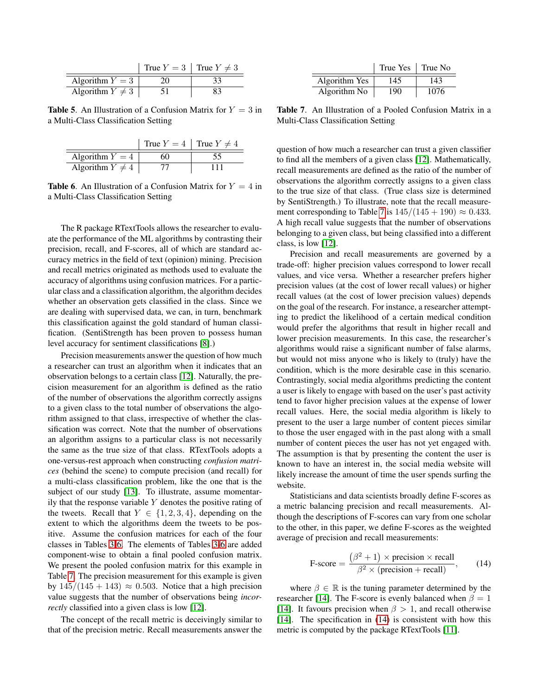|                      | True $Y = 3$   True $Y \neq 3$ |
|----------------------|--------------------------------|
| Algorithm $Y = 3$    |                                |
| Algorithm $Y \neq 3$ |                                |

**Table 5.** An Illustration of a Confusion Matrix for  $Y = 3$  in a Multi-Class Classification Setting

|                      | True $Y = 4$   True $Y \neq 4$ |     |
|----------------------|--------------------------------|-----|
| Algorithm $Y = 4$    |                                | .55 |
| Algorithm $Y \neq 4$ |                                | . . |

**Table 6.** An Illustration of a Confusion Matrix for  $Y = 4$  in a Multi-Class Classification Setting

The R package RTextTools allows the researcher to evaluate the performance of the ML algorithms by contrasting their precision, recall, and F-scores, all of which are standard accuracy metrics in the field of text (opinion) mining. Precision and recall metrics originated as methods used to evaluate the accuracy of algorithms using confusion matrices. For a particular class and a classification algorithm, the algorithm decides whether an observation gets classified in the class. Since we are dealing with supervised data, we can, in turn, benchmark this classification against the gold standard of human classification. (SentiStrength has been proven to possess human level accuracy for sentiment classifications [\[8\]](#page-13-0).)

Precision measurements answer the question of how much a researcher can trust an algorithm when it indicates that an observation belongs to a certain class [\[12\]](#page-13-0). Naturally, the precision measurement for an algorithm is defined as the ratio of the number of observations the algorithm correctly assigns to a given class to the total number of observations the algorithm assigned to that class, irrespective of whether the classification was correct. Note that the number of observations an algorithm assigns to a particular class is not necessarily the same as the true size of that class. RTextTools adopts a one-versus-rest approach when constructing *confusion matrices* (behind the scene) to compute precision (and recall) for a multi-class classification problem, like the one that is the subject of our study [\[13\]](#page-13-0). To illustrate, assume momentarily that the response variable  $Y$  denotes the positive rating of the tweets. Recall that  $Y \in \{1, 2, 3, 4\}$ , depending on the extent to which the algorithms deem the tweets to be positive. Assume the confusion matrices for each of the four classes in Tables [3-](#page-9-0)6. The elements of Tables [3-](#page-9-0)6 are added component-wise to obtain a final pooled confusion matrix. We present the pooled confusion matrix for this example in Table 7. The precision measurement for this example is given by  $145/(145 + 143) \approx 0.503$ . Notice that a high precision value suggests that the number of observations being *incorrectly* classified into a given class is low [\[12\]](#page-13-0).

The concept of the recall metric is deceivingly similar to that of the precision metric. Recall measurements answer the

|               | True Yes | True No |
|---------------|----------|---------|
| Algorithm Yes | 145      | 143     |
| Algorithm No  | 190      | 1076    |

Table 7. An Illustration of a Pooled Confusion Matrix in a Multi-Class Classification Setting

question of how much a researcher can trust a given classifier to find all the members of a given class [\[12\]](#page-13-0). Mathematically, recall measurements are defined as the ratio of the number of observations the algorithm correctly assigns to a given class to the true size of that class. (True class size is determined by SentiStrength.) To illustrate, note that the recall measurement corresponding to Table 7 is  $145/(145 + 190) \approx 0.433$ . A high recall value suggests that the number of observations belonging to a given class, but being classified into a different class, is low [\[12\]](#page-13-0).

Precision and recall measurements are governed by a trade-off: higher precision values correspond to lower recall values, and vice versa. Whether a researcher prefers higher precision values (at the cost of lower recall values) or higher recall values (at the cost of lower precision values) depends on the goal of the research. For instance, a researcher attempting to predict the likelihood of a certain medical condition would prefer the algorithms that result in higher recall and lower precision measurements. In this case, the researcher's algorithms would raise a significant number of false alarms, but would not miss anyone who is likely to (truly) have the condition, which is the more desirable case in this scenario. Contrastingly, social media algorithms predicting the content a user is likely to engage with based on the user's past activity tend to favor higher precision values at the expense of lower recall values. Here, the social media algorithm is likely to present to the user a large number of content pieces similar to those the user engaged with in the past along with a small number of content pieces the user has not yet engaged with. The assumption is that by presenting the content the user is known to have an interest in, the social media website will likely increase the amount of time the user spends surfing the website.

Statisticians and data scientists broadly define F-scores as a metric balancing precision and recall measurements. Although the descriptions of F-scores can vary from one scholar to the other, in this paper, we define F-scores as the weighted average of precision and recall measurements:

$$
\text{F-score} = \frac{(\beta^2 + 1) \times \text{precision} \times \text{recall}}{\beta^2 \times (\text{precision} + \text{recall})},\qquad(14)
$$

where  $\beta \in \mathbb{R}$  is the tuning parameter determined by the researcher [\[14\]](#page-13-0). The F-score is evenly balanced when  $\beta = 1$ [\[14\]](#page-13-0). It favours precision when  $\beta > 1$ , and recall otherwise [\[14\]](#page-13-0). The specification in  $(14)$  is consistent with how this metric is computed by the package RTextTools [\[11\]](#page-13-0).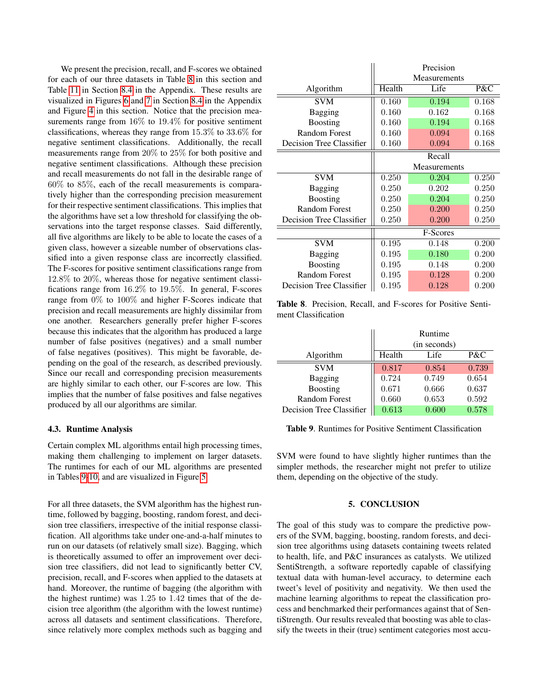We present the precision, recall, and F-scores we obtained for each of our three datasets in Table 8 in this section and Table [11](#page-16-0) in Section [8.4](#page-16-0) in the Appendix. These results are visualized in Figures [6](#page-16-0) and [7](#page-16-0) in Section [8.4](#page-16-0) in the Appendix and Figure [4](#page-12-0) in this section. Notice that the precision measurements range from 16% to 19.4% for positive sentiment classifications, whereas they range from 15.3% to 33.6% for negative sentiment classifications. Additionally, the recall measurements range from 20% to 25% for both positive and negative sentiment classifications. Although these precision and recall measurements do not fall in the desirable range of 60% to 85%, each of the recall measurements is comparatively higher than the corresponding precision measurement for their respective sentiment classifications. This implies that the algorithms have set a low threshold for classifying the observations into the target response classes. Said differently, all five algorithms are likely to be able to locate the cases of a given class, however a sizeable number of observations classified into a given response class are incorrectly classified. The F-scores for positive sentiment classifications range from 12.8% to 20%, whereas those for negative sentiment classifications range from 16.2% to 19.5%. In general, F-scores range from 0% to 100% and higher F-Scores indicate that precision and recall measurements are highly dissimilar from one another. Researchers generally prefer higher F-scores because this indicates that the algorithm has produced a large number of false positives (negatives) and a small number of false negatives (positives). This might be favorable, depending on the goal of the research, as described previously. Since our recall and corresponding precision measurements are highly similar to each other, our F-scores are low. This implies that the number of false positives and false negatives produced by all our algorithms are similar.

#### 4.3. Runtime Analysis

Certain complex ML algorithms entail high processing times, making them challenging to implement on larger datasets. The runtimes for each of our ML algorithms are presented in Tables 9[-10,](#page-12-0) and are visualized in Figure [5.](#page-12-0)

For all three datasets, the SVM algorithm has the highest runtime, followed by bagging, boosting, random forest, and decision tree classifiers, irrespective of the initial response classification. All algorithms take under one-and-a-half minutes to run on our datasets (of relatively small size). Bagging, which is theoretically assumed to offer an improvement over decision tree classifiers, did not lead to significantly better CV, precision, recall, and F-scores when applied to the datasets at hand. Moreover, the runtime of bagging (the algorithm with the highest runtime) was 1.25 to 1.42 times that of the decision tree algorithm (the algorithm with the lowest runtime) across all datasets and sentiment classifications. Therefore, since relatively more complex methods such as bagging and

|                          | Precision    |              |       |
|--------------------------|--------------|--------------|-------|
|                          | Measurements |              |       |
| Algorithm                | Health       | Life         | P&C   |
| <b>SVM</b>               | 0.160        | 0.194        | 0.168 |
| <b>Bagging</b>           | 0.160        | 0.162        | 0.168 |
| <b>Boosting</b>          | 0.160        | 0.194        | 0.168 |
| <b>Random Forest</b>     | 0.160        | 0.094        | 0.168 |
| Decision Tree Classifier | 0.160        | 0.094        | 0.168 |
|                          |              | Recall       |       |
|                          |              | Measurements |       |
| <b>SVM</b>               | 0.250        | 0.204        | 0.250 |
| <b>Bagging</b>           | 0.250        | 0.202        | 0.250 |
| <b>Boosting</b>          | 0.250        | 0.204        | 0.250 |
| <b>Random Forest</b>     | 0.250        | 0.200        | 0.250 |
| Decision Tree Classifier | 0.250        | 0.200        | 0.250 |
|                          |              | F-Scores     |       |
| <b>SVM</b>               | 0.195        | 0.148        | 0.200 |
| Bagging                  | 0.195        | 0.180        | 0.200 |
| <b>Boosting</b>          | 0.195        | 0.148        | 0.200 |
| <b>Random Forest</b>     | 0.195        | 0.128        | 0.200 |
| Decision Tree Classifier | 0.195        | 0.128        | 0.200 |

Table 8. Precision, Recall, and F-scores for Positive Sentiment Classification

|                          | Runtime<br>(in seconds) |       |       |
|--------------------------|-------------------------|-------|-------|
| Algorithm                | Health                  | Life  | P&C   |
| <b>SVM</b>               | 0.817                   | 0.854 | 0.739 |
| Bagging                  | 0.724                   | 0.749 | 0.654 |
| <b>Boosting</b>          | 0.671                   | 0.666 | 0.637 |
| <b>Random Forest</b>     | 0.660                   | 0.653 | 0.592 |
| Decision Tree Classifier | 0.613                   | 0.600 | 0.578 |

Table 9. Runtimes for Positive Sentiment Classification

SVM were found to have slightly higher runtimes than the simpler methods, the researcher might not prefer to utilize them, depending on the objective of the study.

#### 5. CONCLUSION

The goal of this study was to compare the predictive powers of the SVM, bagging, boosting, random forests, and decision tree algorithms using datasets containing tweets related to health, life, and P&C insurances as catalysts. We utilized SentiStrength, a software reportedly capable of classifying textual data with human-level accuracy, to determine each tweet's level of positivity and negativity. We then used the machine learning algorithms to repeat the classification process and benchmarked their performances against that of SentiStrength. Our results revealed that boosting was able to classify the tweets in their (true) sentiment categories most accu-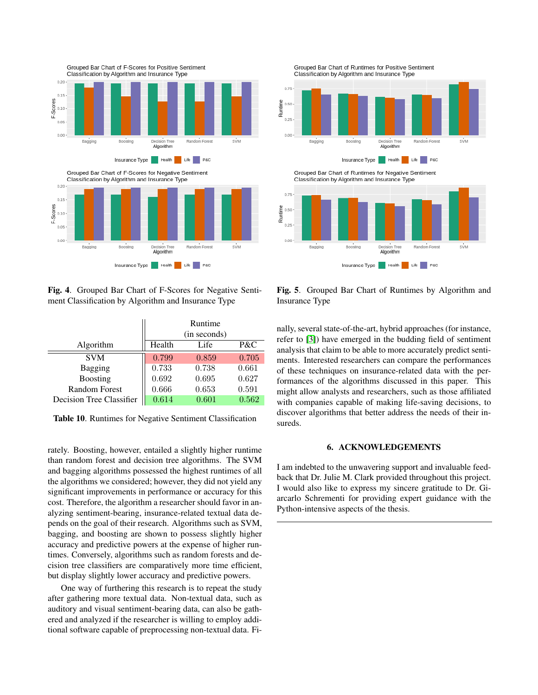<span id="page-12-0"></span>

Fig. 4. Grouped Bar Chart of F-Scores for Negative Sentiment Classification by Algorithm and Insurance Type

|                          | Runtime<br>(in seconds) |       |       |
|--------------------------|-------------------------|-------|-------|
| Algorithm                | Health                  | Life  | P&C   |
| <b>SVM</b>               | 0.799                   | 0.859 | 0.705 |
| Bagging                  | 0.733                   | 0.738 | 0.661 |
| <b>Boosting</b>          | 0.692                   | 0.695 | 0.627 |
| <b>Random Forest</b>     | 0.666                   | 0.653 | 0.591 |
| Decision Tree Classifier | 0.614                   | 0.601 | 0.562 |

Table 10. Runtimes for Negative Sentiment Classification

rately. Boosting, however, entailed a slightly higher runtime than random forest and decision tree algorithms. The SVM and bagging algorithms possessed the highest runtimes of all the algorithms we considered; however, they did not yield any significant improvements in performance or accuracy for this cost. Therefore, the algorithm a researcher should favor in analyzing sentiment-bearing, insurance-related textual data depends on the goal of their research. Algorithms such as SVM, bagging, and boosting are shown to possess slightly higher accuracy and predictive powers at the expense of higher runtimes. Conversely, algorithms such as random forests and decision tree classifiers are comparatively more time efficient, but display slightly lower accuracy and predictive powers.

One way of furthering this research is to repeat the study after gathering more textual data. Non-textual data, such as auditory and visual sentiment-bearing data, can also be gathered and analyzed if the researcher is willing to employ additional software capable of preprocessing non-textual data. Fi-

Grouped Bar Chart of Runtimes for Positive Sentiment Classification by Algorithm and Insurance Type



Fig. 5. Grouped Bar Chart of Runtimes by Algorithm and Insurance Type

nally, several state-of-the-art, hybrid approaches (for instance, refer to [\[3\]](#page-13-0)) have emerged in the budding field of sentiment analysis that claim to be able to more accurately predict sentiments. Interested researchers can compare the performances of these techniques on insurance-related data with the performances of the algorithms discussed in this paper. This might allow analysts and researchers, such as those affiliated with companies capable of making life-saving decisions, to discover algorithms that better address the needs of their insureds.

#### 6. ACKNOWLEDGEMENTS

I am indebted to the unwavering support and invaluable feedback that Dr. Julie M. Clark provided throughout this project. I would also like to express my sincere gratitude to Dr. Giarcarlo Schrementi for providing expert guidance with the Python-intensive aspects of the thesis.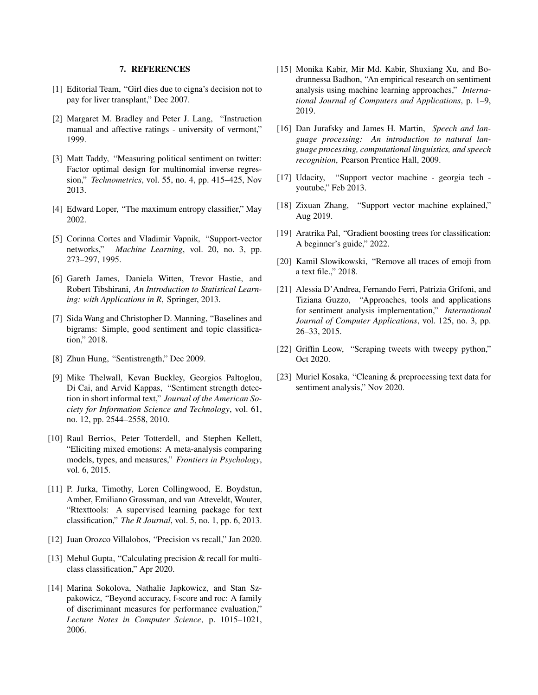#### 7. REFERENCES

- <span id="page-13-0"></span>[1] Editorial Team, "Girl dies due to cigna's decision not to pay for liver transplant," Dec 2007.
- [2] Margaret M. Bradley and Peter J. Lang, "Instruction manual and affective ratings - university of vermont," 1999.
- [3] Matt Taddy, "Measuring political sentiment on twitter: Factor optimal design for multinomial inverse regression," *Technometrics*, vol. 55, no. 4, pp. 415–425, Nov 2013.
- [4] Edward Loper, "The maximum entropy classifier," May 2002.
- [5] Corinna Cortes and Vladimir Vapnik, "Support-vector networks," *Machine Learning*, vol. 20, no. 3, pp. 273–297, 1995.
- [6] Gareth James, Daniela Witten, Trevor Hastie, and Robert Tibshirani, *An Introduction to Statistical Learning: with Applications in R*, Springer, 2013.
- [7] Sida Wang and Christopher D. Manning, "Baselines and bigrams: Simple, good sentiment and topic classification," 2018.
- [8] Zhun Hung, "Sentistrength," Dec 2009.
- [9] Mike Thelwall, Kevan Buckley, Georgios Paltoglou, Di Cai, and Arvid Kappas, "Sentiment strength detection in short informal text," *Journal of the American Society for Information Science and Technology*, vol. 61, no. 12, pp. 2544–2558, 2010.
- [10] Raul Berrios, Peter Totterdell, and Stephen Kellett, "Eliciting mixed emotions: A meta-analysis comparing models, types, and measures," *Frontiers in Psychology*, vol. 6, 2015.
- [11] P. Jurka, Timothy, Loren Collingwood, E. Boydstun, Amber, Emiliano Grossman, and van Atteveldt, Wouter, "Rtexttools: A supervised learning package for text classification," *The R Journal*, vol. 5, no. 1, pp. 6, 2013.
- [12] Juan Orozco Villalobos, "Precision vs recall," Jan 2020.
- [13] Mehul Gupta, "Calculating precision & recall for multiclass classification," Apr 2020.
- [14] Marina Sokolova, Nathalie Japkowicz, and Stan Szpakowicz, "Beyond accuracy, f-score and roc: A family of discriminant measures for performance evaluation," *Lecture Notes in Computer Science*, p. 1015–1021, 2006.
- [15] Monika Kabir, Mir Md. Kabir, Shuxiang Xu, and Bodrunnessa Badhon, "An empirical research on sentiment analysis using machine learning approaches," *International Journal of Computers and Applications*, p. 1–9, 2019.
- [16] Dan Jurafsky and James H. Martin, *Speech and language processing: An introduction to natural language processing, computational linguistics, and speech recognition*, Pearson Prentice Hall, 2009.
- [17] Udacity, "Support vector machine georgia tech youtube," Feb 2013.
- [18] Zixuan Zhang, "Support vector machine explained," Aug 2019.
- [19] Aratrika Pal, "Gradient boosting trees for classification: A beginner's guide," 2022.
- [20] Kamil Slowikowski, "Remove all traces of emoji from a text file.," 2018.
- [21] Alessia D'Andrea, Fernando Ferri, Patrizia Grifoni, and Tiziana Guzzo, "Approaches, tools and applications for sentiment analysis implementation," *International Journal of Computer Applications*, vol. 125, no. 3, pp. 26–33, 2015.
- [22] Griffin Leow, "Scraping tweets with tweepy python," Oct 2020.
- [23] Muriel Kosaka, "Cleaning & preprocessing text data for sentiment analysis," Nov 2020.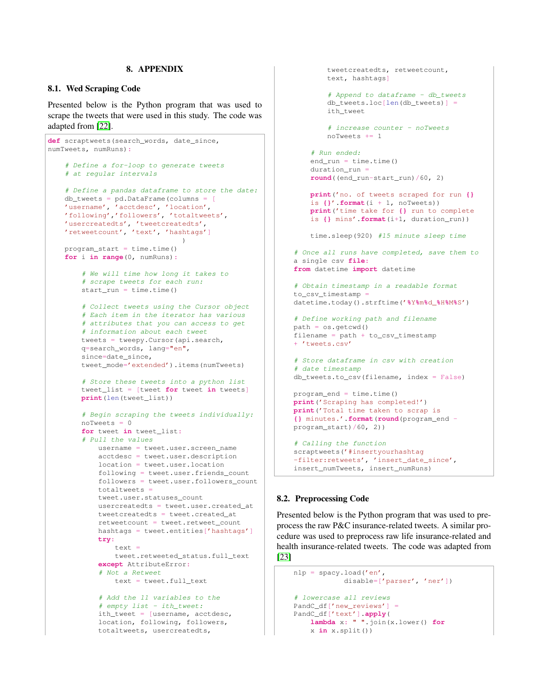#### 8. APPENDIX

#### <span id="page-14-0"></span>8.1. Wed Scraping Code

Presented below is the Python program that was used to scrape the tweets that were used in this study. The code was adapted from [\[22\]](#page-13-0).

```
def scraptweets(search_words, date_since,
numTweets, numRuns):
    # Define a for-loop to generate tweets
    # at regular intervals
    # Define a pandas dataframe to store the date:
   db_tweets = pd.DataFrame(columns = [
    'username', 'acctdesc', 'location',
   'following','followers', 'totaltweets',
   'usercreatedts', 'tweetcreatedts',
    'retweetcount', 'text', 'hashtags']
                                )
   program_start = time.time()
   for i in range(0, numRuns):
        # We will time how long it takes to
        # scrape tweets for each run:
       start\_run = time.time()# Collect tweets using the Cursor object
        # Each item in the iterator has various
        # attributes that you can access to get
        # information about each tweet
       tweets = tweepy.Cursor(api.search,
       q=search_words, lang="en",
       since=date_since,
       tweet_mode='extended').items(numTweets)
        # Store these tweets into a python list
       tweet_list = [tweet for tweet in tweets]
       print(len(tweet_list))
        # Begin scraping the tweets individually:
       noTweets = 0for tweet in tweet_list:
        # Pull the values
           username = tweet.user.screen_name
           acctdesc = tweet.user.description
           location = tweet.user.location
            following = tweet.user.friends_count
            followers = tweet.user.followers_count
           totaltweets =
           tweet.user.statuses_count
           usercreatedts = tweet.user.created_at
           tweetcreatedts = tweet.created_at
           retweetcount = tweet.retweet_count
           hashtags = tweet.entities['hashtags']
           try:
               text =
               tweet.retweeted_status.full_text
            except AttributeError:
            # Not a Retweet
               text = tweet.full_text
            # Add the 11 variables to the
            # empty list - ith_tweet:
            ith_tweet = [username, acctdesc,
```
location, following, followers, totaltweets, usercreatedts,

```
tweetcreatedts, retweetcount,
        text, hashtags]
        # Append to dataframe - db_tweets
        db_tweets.loc[len(db_tweets)] =
        ith_tweet
        # increase counter - noTweets
        noTweets += 1
    # Run ended:
    end_run = time.time()duration_run =
    round((end_run-start_run)/60, 2)
    print('no. of tweets scraped for run {}
    is {}'.format(i + 1, noTweets))
    print('time take for {} run to complete
    is {} mins'.format(i+1, duration_run))
    time.sleep(920) #15 minute sleep time
# Once all runs have completed, save them to
a single csv file:
from datetime import datetime
# Obtain timestamp in a readable format
to_csv_timestamp =
datetime.today().strftime('%Y%m%d_%H%M%S')
# Define working path and filename
path = os.getcwd()filename = path + to_csv_timestamp
+ 'tweets.csv'
# Store dataframe in csv with creation
# date timestamp
db_tweets.to_csv(filename, index = False)
program end = time.time()print('Scraping has completed!')
print('Total time taken to scrap is
{} minutes.'.format(round(program_end -
program_start)/60, 2))
# Calling the function
scraptweets('#insertyourhashtag
-filter:retweets', 'insert_date_since',
```
#### 8.2. Preprocessing Code

Presented below is the Python program that was used to preprocess the raw P&C insurance-related tweets. A similar procedure was used to preprocess raw life insurance-related and health insurance-related tweets. The code was adapted from [\[23\]](#page-13-0)

insert\_numTweets, insert\_numRuns)

```
nlp = spacy.load('en',
            disable=['parser', 'ner'])
# lowercase all reviews
PandC_df['new_reviews'] =
PandC_df['text'].apply(
   lambda x: " ".join(x.lower() for
    x in x.split())
```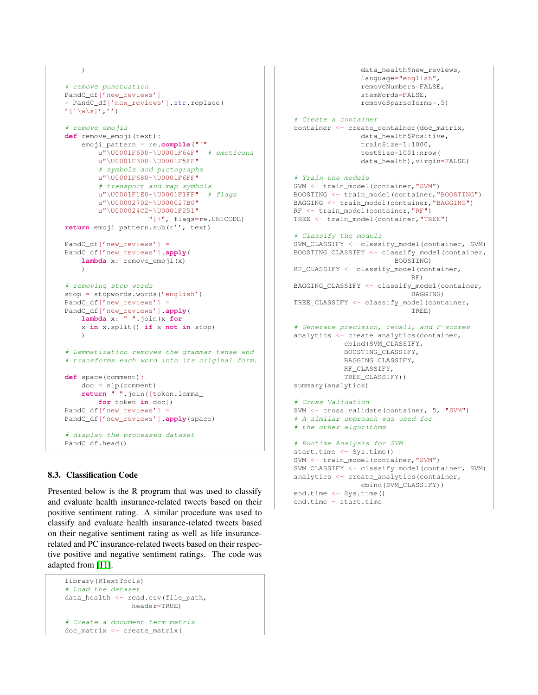```
\lambda# remove punctuation
PandC_df['new_reviews']
= PandC_df['new_reviews'].str.replace(
'\left[\uparrow\wedge w\wedge s\right]'/\wedge'\wedge'# remove emojis
def remove_emoji(text):
    emoji_pattern = re.compile("["
        u"\U0001F600-\U0001F64F" # emoticons
        u"\U0001F300-\U0001F5FF"
        # symbols and pictographs
        u"\U0001F680-\U0001F6FF"
        # transport and map symbols
        u" \U00001F1E0-\U00001F1FF" # flagsu"\U00002702-\U000027B0"
        u"\U000024C2-\U0001F251"
                     "]+", flags=re.UNICODE)
return emoji_pattern.sub(r'', text)
PandC df['new reviews'] =
PandC_df['new_reviews'].apply(
    lambda x: remove_emoji(x)
    )
# removing stop words
stop = stopwords.words('english')
PandC_df['new_reviews'] =
PandC_df['new_reviews'].apply(
    lambda x: " ".join(x for
    x in x.split() if x not in stop)
    )
# Lemmatization removes the grammar tense and
# transforms each word into its original form.
def space(comment):
    doc = nlp(comment)
    return " ".join([token.lemma_
        for token in doc])
PandC_df['new_reviews'] =
PandC_df['new_reviews'].apply(space)
# display the processed dataset
PandC_df.head()
```
#### 8.3. Classification Code

Presented below is the R program that was used to classify and evaluate health insurance-related tweets based on their positive sentiment rating. A similar procedure was used to classify and evaluate health insurance-related tweets based on their negative sentiment rating as well as life insurancerelated and PC insurance-related tweets based on their respective positive and negative sentiment ratings. The code was adapted from [\[11\]](#page-13-0).

```
library(RTextTools)
# Load the dataset
data_health <- read.csv(file_path,
                header=TRUE)
# Create a document-term matrix
doc_matrix <- create_matrix(
```

```
stemWords=FALSE,
                removeSparseTerms=.5)
# Create a container
container <- create container(doc matrix,
                data_health$Positive,
                trainSize=1:1000,
                testSize=1001:nrow(
                data_health), virgin=FALSE)
# Train the models
SVM <- train_model(container,"SVM")
BOOSTING <- train_model(container,"BOOSTING")
BAGGING <- train_model(container,"BAGGING")
RF <- train_model(container,"RF")
TREE <- train_model(container,"TREE")
# Classify the models
SVM_CLASSIFY <- classify_model(container, SVM)
BOOSTING_CLASSIFY <- classify_model(container,
                        BOOSTING)
RF_CLASSIFY <- classify_model(container,
                            RF)
BAGGING_CLASSIFY <- classify_model(container,
                            BAGGING)
TREE_CLASSIFY <- classify_model(container,
                            TREE)
# Generate precision, recall, and F-scores
analytics <- create_analytics(container,
            cbind(SVM_CLASSIFY,
            BOOSTING_CLASSIFY,
            BAGGING_CLASSIFY,
            RF_CLASSIFY,
            TREE_CLASSIFY))
summary(analytics)
# Cross Validation
SVM <- cross_validate(container, 5, "SVM")
# A similar approach was used for
# the other algorithms
# Runtime Analysis for SVM
start.time <- Sys.time()
SVM <- train_model(container,"SVM")
SVM_CLASSIFY <- classify_model(container, SVM)
analytics <- create_analytics(container,
                cbind(SVM_CLASSIFY))
```
data health\$new reviews, language="english", removeNumbers=FALSE,

```
end.time <- Sys.time()
end.time - start.time
```